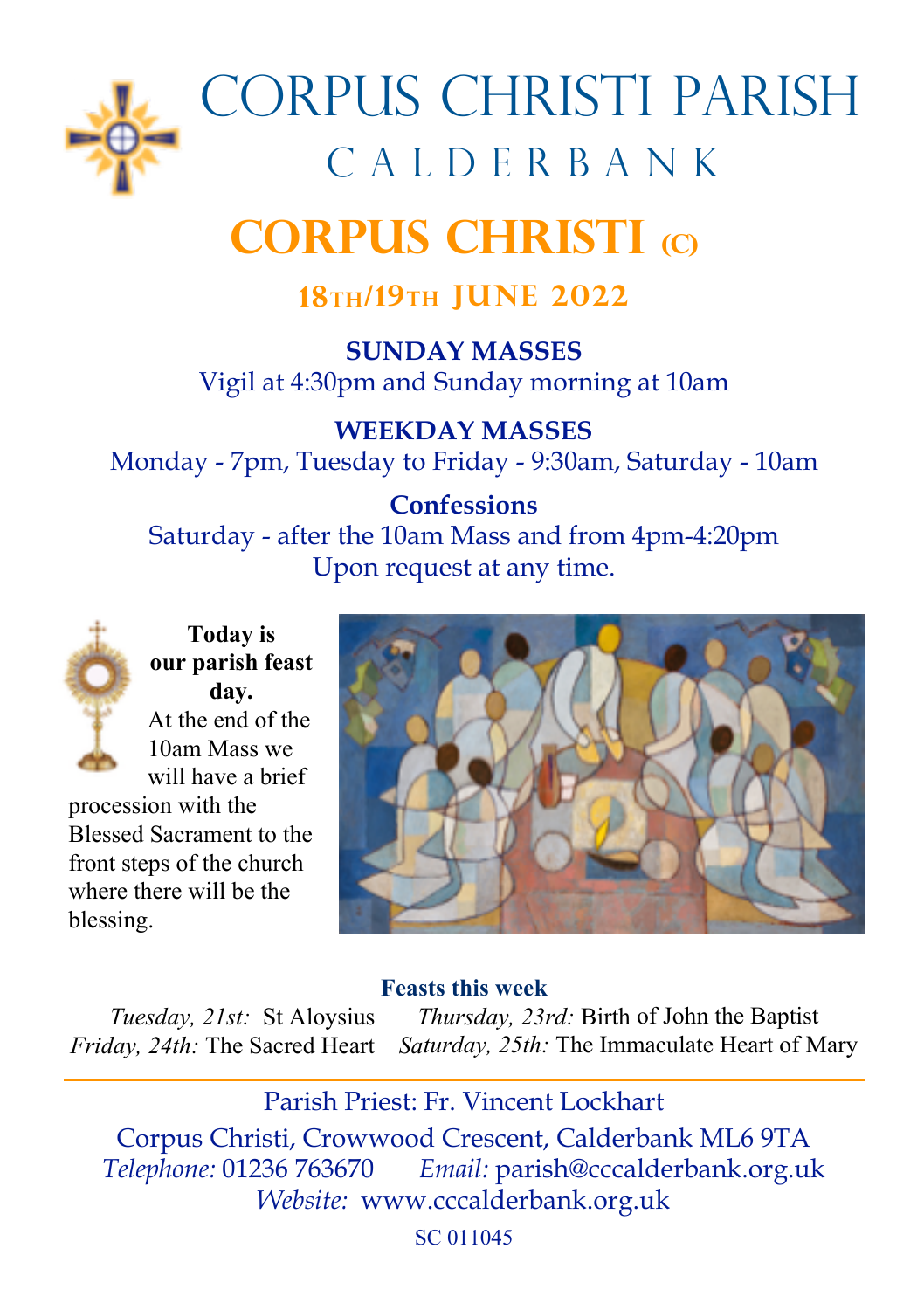

# Corpus Christi parish CALDERBANK

# **Corpus Christi (c)**

# **18th/19th June 2022**

**SUNDAY MASSES** Vigil at 4:30pm and Sunday morning at 10am

**WEEKDAY MASSES** Monday - 7pm, Tuesday to Friday - 9:30am, Saturday - 10am

# **Confessions**

Saturday - after the 10am Mass and from 4pm-4:20pm Upon request at any time.



**Today is our parish feast day.** At the end of the 10am Mass we will have a brief

procession with the Blessed Sacrament to the front steps of the church where there will be the blessing.



#### **Feasts this week**

*Tuesday, 21st:* St Aloysius *Thursday, 23rd:* Birth of John the Baptist *Friday, 24th:* The Sacred Heart *Saturday, 25th:* The Immaculate Heart of Mary

Corpus Christi, Crowwood Crescent, Calderbank ML6 9TA *Telephone:* 01236 763670 *Email:* parish@cccalderbank.org.uk *Website:* www.cccalderbank.org.uk Parish Priest: Fr. Vincent Lockhart

SC 011045